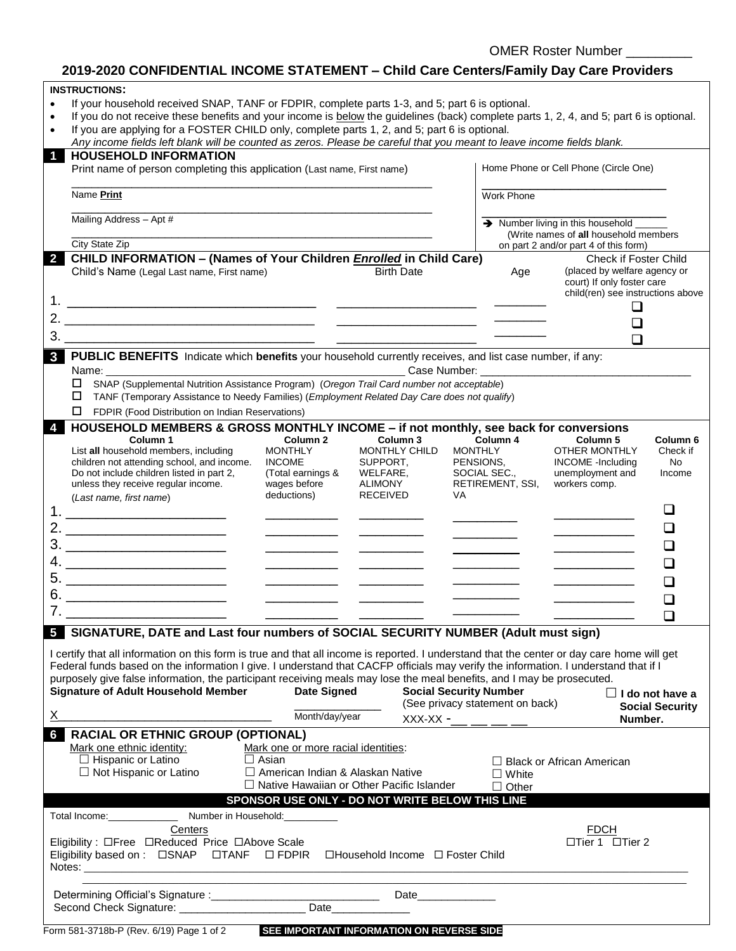OMER Roster Number \_\_\_\_\_\_\_\_\_

# **2019-2020 CONFIDENTIAL INCOME STATEMENT – Child Care Centers/Family Day Care Providers**

|                                                                                                                                                     | <b>INSTRUCTIONS:</b>                                                                                                                        |                                       |                  |                                               |                        |  |  |  |  |
|-----------------------------------------------------------------------------------------------------------------------------------------------------|---------------------------------------------------------------------------------------------------------------------------------------------|---------------------------------------|------------------|-----------------------------------------------|------------------------|--|--|--|--|
| If your household received SNAP, TANF or FDPIR, complete parts 1-3, and 5; part 6 is optional.<br>$\bullet$                                         |                                                                                                                                             |                                       |                  |                                               |                        |  |  |  |  |
| If you do not receive these benefits and your income is below the guidelines (back) complete parts 1, 2, 4, and 5; part 6 is optional.<br>$\bullet$ |                                                                                                                                             |                                       |                  |                                               |                        |  |  |  |  |
| $\bullet$                                                                                                                                           | If you are applying for a FOSTER CHILD only, complete parts 1, 2, and 5; part 6 is optional.                                                |                                       |                  |                                               |                        |  |  |  |  |
|                                                                                                                                                     | Any income fields left blank will be counted as zeros. Please be careful that you meant to leave income fields blank.                       |                                       |                  |                                               |                        |  |  |  |  |
| $\blacktriangleleft$                                                                                                                                | <b>HOUSEHOLD INFORMATION</b>                                                                                                                |                                       |                  |                                               |                        |  |  |  |  |
|                                                                                                                                                     | Print name of person completing this application (Last name, First name)                                                                    |                                       |                  | Home Phone or Cell Phone (Circle One)         |                        |  |  |  |  |
|                                                                                                                                                     |                                                                                                                                             |                                       |                  |                                               |                        |  |  |  |  |
|                                                                                                                                                     |                                                                                                                                             |                                       |                  |                                               |                        |  |  |  |  |
|                                                                                                                                                     | Name Print                                                                                                                                  | <b>Work Phone</b>                     |                  |                                               |                        |  |  |  |  |
|                                                                                                                                                     |                                                                                                                                             |                                       |                  |                                               |                        |  |  |  |  |
|                                                                                                                                                     | Mailing Address - Apt #                                                                                                                     |                                       |                  | $\rightarrow$ Number living in this household |                        |  |  |  |  |
|                                                                                                                                                     |                                                                                                                                             | (Write names of all household members |                  |                                               |                        |  |  |  |  |
|                                                                                                                                                     | City State Zip                                                                                                                              |                                       |                  | on part 2 and/or part 4 of this form)         |                        |  |  |  |  |
| $\overline{2}$                                                                                                                                      | <b>CHILD INFORMATION - (Names of Your Children Enrolled in Child Care)</b>                                                                  |                                       |                  | <b>Check if Foster Child</b>                  |                        |  |  |  |  |
|                                                                                                                                                     | <b>Birth Date</b><br>Child's Name (Legal Last name, First name)                                                                             |                                       | Age              | (placed by welfare agency or                  |                        |  |  |  |  |
|                                                                                                                                                     |                                                                                                                                             |                                       |                  | court) If only foster care                    |                        |  |  |  |  |
|                                                                                                                                                     |                                                                                                                                             |                                       |                  | child(ren) see instructions above             |                        |  |  |  |  |
|                                                                                                                                                     |                                                                                                                                             |                                       |                  | ப                                             |                        |  |  |  |  |
|                                                                                                                                                     |                                                                                                                                             |                                       |                  |                                               |                        |  |  |  |  |
|                                                                                                                                                     |                                                                                                                                             |                                       |                  |                                               |                        |  |  |  |  |
|                                                                                                                                                     |                                                                                                                                             |                                       |                  | $\Box$                                        |                        |  |  |  |  |
|                                                                                                                                                     | <b>3</b> PUBLIC BENEFITS Indicate which benefits your household currently receives, and list case number, if any:                           |                                       |                  |                                               |                        |  |  |  |  |
|                                                                                                                                                     |                                                                                                                                             |                                       |                  |                                               |                        |  |  |  |  |
|                                                                                                                                                     | Name:<br>Case Number:                                                                                                                       |                                       |                  |                                               |                        |  |  |  |  |
|                                                                                                                                                     | SNAP (Supplemental Nutrition Assistance Program) (Oregon Trail Card number not acceptable)<br>□                                             |                                       |                  |                                               |                        |  |  |  |  |
|                                                                                                                                                     | TANF (Temporary Assistance to Needy Families) (Employment Related Day Care does not qualify)                                                |                                       |                  |                                               |                        |  |  |  |  |
|                                                                                                                                                     | FDPIR (Food Distribution on Indian Reservations)<br>□                                                                                       |                                       |                  |                                               |                        |  |  |  |  |
|                                                                                                                                                     | HOUSEHOLD MEMBERS & GROSS MONTHLY INCOME - if not monthly, see back for conversions                                                         |                                       |                  |                                               |                        |  |  |  |  |
|                                                                                                                                                     | Column 1<br>Column <sub>2</sub><br>Column 3                                                                                                 |                                       | Column 4         | Column <sub>5</sub>                           | Column <sub>6</sub>    |  |  |  |  |
|                                                                                                                                                     | List all household members, including<br><b>MONTHLY</b><br>MONTHLY CHILD<br><b>MONTHLY</b>                                                  |                                       |                  | OTHER MONTHLY                                 | Check if               |  |  |  |  |
|                                                                                                                                                     | children not attending school, and income.<br><b>INCOME</b><br>SUPPORT,<br>PENSIONS,                                                        |                                       |                  | <b>INCOME</b> - Including                     | <b>No</b>              |  |  |  |  |
|                                                                                                                                                     | (Total earnings &<br>Do not include children listed in part 2,<br>WELFARE,<br>SOCIAL SEC.,                                                  |                                       |                  | unemployment and                              | Income                 |  |  |  |  |
|                                                                                                                                                     | wages before<br>ALIMONY<br>unless they receive regular income.                                                                              |                                       | RETIREMENT, SSI, | workers comp.                                 |                        |  |  |  |  |
|                                                                                                                                                     | deductions)<br><b>RECEIVED</b><br>VA                                                                                                        |                                       |                  |                                               |                        |  |  |  |  |
|                                                                                                                                                     | (Last name, first name)                                                                                                                     |                                       |                  |                                               |                        |  |  |  |  |
|                                                                                                                                                     |                                                                                                                                             |                                       |                  |                                               |                        |  |  |  |  |
|                                                                                                                                                     |                                                                                                                                             |                                       |                  |                                               |                        |  |  |  |  |
|                                                                                                                                                     |                                                                                                                                             |                                       |                  |                                               |                        |  |  |  |  |
|                                                                                                                                                     | $\begin{array}{c}\n3. \quad \textcolor{blue}{\textbf{2.2}}\n\end{array}$                                                                    |                                       |                  |                                               |                        |  |  |  |  |
|                                                                                                                                                     |                                                                                                                                             |                                       |                  |                                               |                        |  |  |  |  |
|                                                                                                                                                     |                                                                                                                                             |                                       |                  |                                               |                        |  |  |  |  |
|                                                                                                                                                     | $\overline{\phantom{a}}$                                                                                                                    |                                       |                  |                                               |                        |  |  |  |  |
|                                                                                                                                                     | <u> 1989 - Johann Harry Harry Harry Harry Harry Harry Harry Harry Harry Harry Harry Harry Harry Harry Harry Harry</u>                       |                                       |                  |                                               |                        |  |  |  |  |
|                                                                                                                                                     |                                                                                                                                             |                                       |                  |                                               |                        |  |  |  |  |
|                                                                                                                                                     |                                                                                                                                             |                                       |                  |                                               |                        |  |  |  |  |
|                                                                                                                                                     | 5 SIGNATURE, DATE and Last four numbers of SOCIAL SECURITY NUMBER (Adult must sign)                                                         |                                       |                  |                                               |                        |  |  |  |  |
|                                                                                                                                                     |                                                                                                                                             |                                       |                  |                                               |                        |  |  |  |  |
|                                                                                                                                                     | I certify that all information on this form is true and that all income is reported. I understand that the center or day care home will get |                                       |                  |                                               |                        |  |  |  |  |
|                                                                                                                                                     | Federal funds based on the information I give. I understand that CACFP officials may verify the information. I understand that if I         |                                       |                  |                                               |                        |  |  |  |  |
|                                                                                                                                                     | purposely give false information, the participant receiving meals may lose the meal benefits, and I may be prosecuted.                      |                                       |                  |                                               |                        |  |  |  |  |
|                                                                                                                                                     | <b>Date Signed</b><br><b>Social Security Number</b><br><b>Signature of Adult Household Member</b>                                           |                                       |                  |                                               |                        |  |  |  |  |
|                                                                                                                                                     |                                                                                                                                             |                                       |                  |                                               | $\Box$ I do not have a |  |  |  |  |
|                                                                                                                                                     | (See privacy statement on back)                                                                                                             |                                       |                  |                                               | <b>Social Security</b> |  |  |  |  |
| X.                                                                                                                                                  | Month/day/year<br>$XXX-XX$ -__ __ __ __                                                                                                     |                                       |                  | Number.                                       |                        |  |  |  |  |
| 6                                                                                                                                                   | <b>RACIAL OR ETHNIC GROUP (OPTIONAL)</b>                                                                                                    |                                       |                  |                                               |                        |  |  |  |  |
|                                                                                                                                                     | Mark one or more racial identities:<br>Mark one ethnic identity:                                                                            |                                       |                  |                                               |                        |  |  |  |  |
|                                                                                                                                                     | $\Box$ Hispanic or Latino<br>$\Box$ Asian                                                                                                   |                                       |                  | $\Box$ Black or African American              |                        |  |  |  |  |
|                                                                                                                                                     |                                                                                                                                             |                                       |                  |                                               |                        |  |  |  |  |
|                                                                                                                                                     | $\Box$ Not Hispanic or Latino<br>□ American Indian & Alaskan Native                                                                         |                                       | $\Box$ White     |                                               |                        |  |  |  |  |
|                                                                                                                                                     | $\Box$ Native Hawaiian or Other Pacific Islander                                                                                            |                                       | $\Box$ Other     |                                               |                        |  |  |  |  |
|                                                                                                                                                     | SPONSOR USE ONLY - DO NOT WRITE BELOW THIS LINE                                                                                             |                                       |                  |                                               |                        |  |  |  |  |
|                                                                                                                                                     | Total Income: Number in Household:                                                                                                          |                                       |                  |                                               |                        |  |  |  |  |
|                                                                                                                                                     | Centers                                                                                                                                     |                                       |                  | <b>FDCH</b>                                   |                        |  |  |  |  |
|                                                                                                                                                     |                                                                                                                                             |                                       |                  |                                               |                        |  |  |  |  |
|                                                                                                                                                     | Eligibility: $\Box$ Free $\Box$ Reduced Price $\Box$ Above Scale                                                                            |                                       |                  | □Tier 1 □Tier 2                               |                        |  |  |  |  |
|                                                                                                                                                     | Eligibility based on: CSNAP CITANF CIFDPIR CHousehold Income CI Foster Child                                                                |                                       |                  |                                               |                        |  |  |  |  |
|                                                                                                                                                     |                                                                                                                                             |                                       |                  |                                               |                        |  |  |  |  |
|                                                                                                                                                     |                                                                                                                                             |                                       |                  |                                               |                        |  |  |  |  |
|                                                                                                                                                     |                                                                                                                                             |                                       |                  |                                               |                        |  |  |  |  |
|                                                                                                                                                     |                                                                                                                                             |                                       |                  |                                               |                        |  |  |  |  |
|                                                                                                                                                     |                                                                                                                                             |                                       |                  |                                               |                        |  |  |  |  |

Form 581-3718b-P (Rev. 6/19) Page 1 of 2 **SEE IMPORTANT INFORMATION ON REVERSE SIDE**